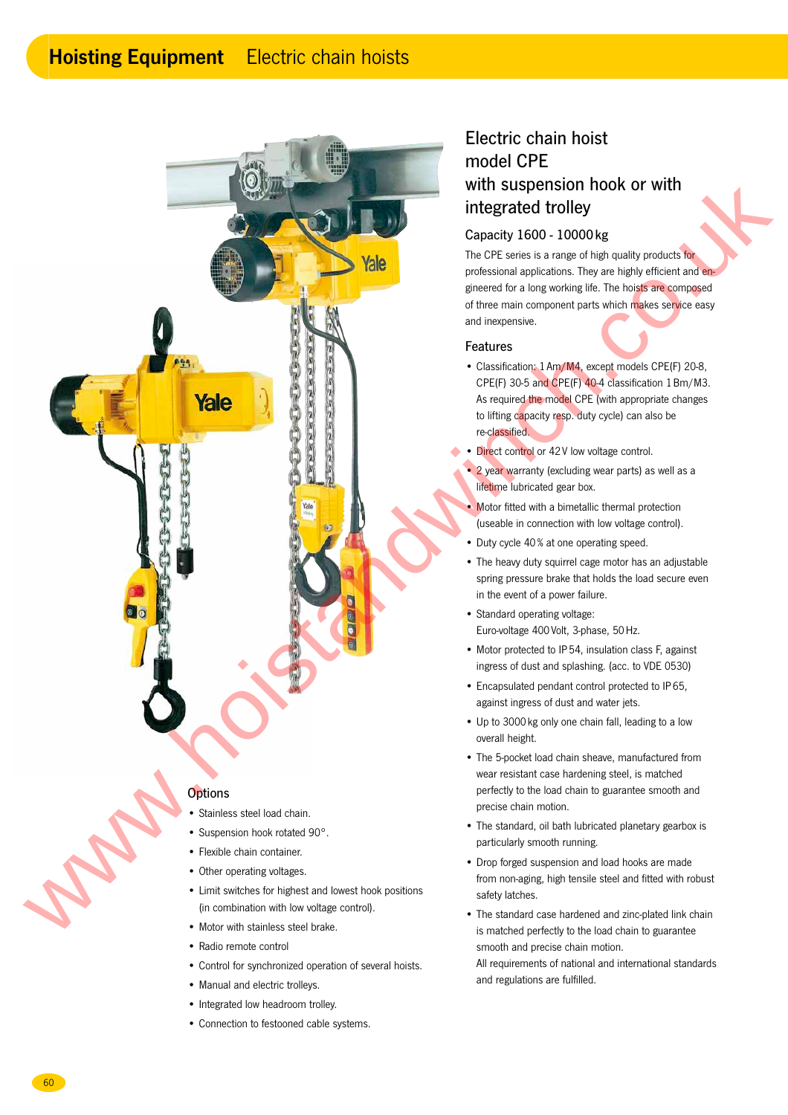# **Hoisting Equipment** Electric chain hoists



### **Options**

- Stainless steel load chain.
- Suspension hook rotated 90°.
- Flexible chain container.
- Other operating voltages.
- Limit switches for highest and lowest hook positions (in combination with low voltage control).
- Motor with stainless steel brake.
- Radio remote control
- Control for synchronized operation of several hoists.
- Manual and electric trolleys.
- Integrated low headroom trolley.
- Connection to festooned cable systems.

# Electric chain hoist model CPE with suspension hook or with integrated trolley

# Capacity 1600 - 10000 kg

The CPE series is a range of high quality products for professional applications. They are highly efficient and engineered for a long working life. The hoists are composed of three main component parts which makes service easy and inexpensive.

#### Features

- Classification: 1 Am/M4, except models CPE(F) 20-8, CPE(F) 30-5 and CPE(F) 40-4 classification 1 Bm/M3. As required the model CPE (with appropriate changes to lifting capacity resp. duty cycle) can also be re-classified.
- Direct control or 42 V low voltage control.
- 2 year warranty (excluding wear parts) as well as a lifetime lubricated gear box.
- Motor fitted with a bimetallic thermal protection (useable in connection with low voltage control).
- Duty cycle 40 % at one operating speed.
- The heavy duty squirrel cage motor has an adjustable spring pressure brake that holds the load secure even in the event of a power failure.
- Standard operating voltage: Euro-voltage 400 Volt, 3-phase, 50 Hz.
- Motor protected to IP 54, insulation class F, against ingress of dust and splashing. (acc. to VDE 0530)
- Encapsulated pendant control protected to IP 65, against ingress of dust and water jets.
- Up to 3000 kg only one chain fall, leading to a low overall height.
- The 5-pocket load chain sheave, manufactured from wear resistant case hardening steel, is matched perfectly to the load chain to guarantee smooth and precise chain motion.
- The standard, oil bath lubricated planetary gearbox is particularly smooth running.
- Drop forged suspension and load hooks are made from non-aging, high tensile steel and fitted with robust safety latches.
- The standard case hardened and zinc-plated link chain is matched perfectly to the load chain to guarantee smooth and precise chain motion. All requirements of national and international standards
- and regulations are fulfilled.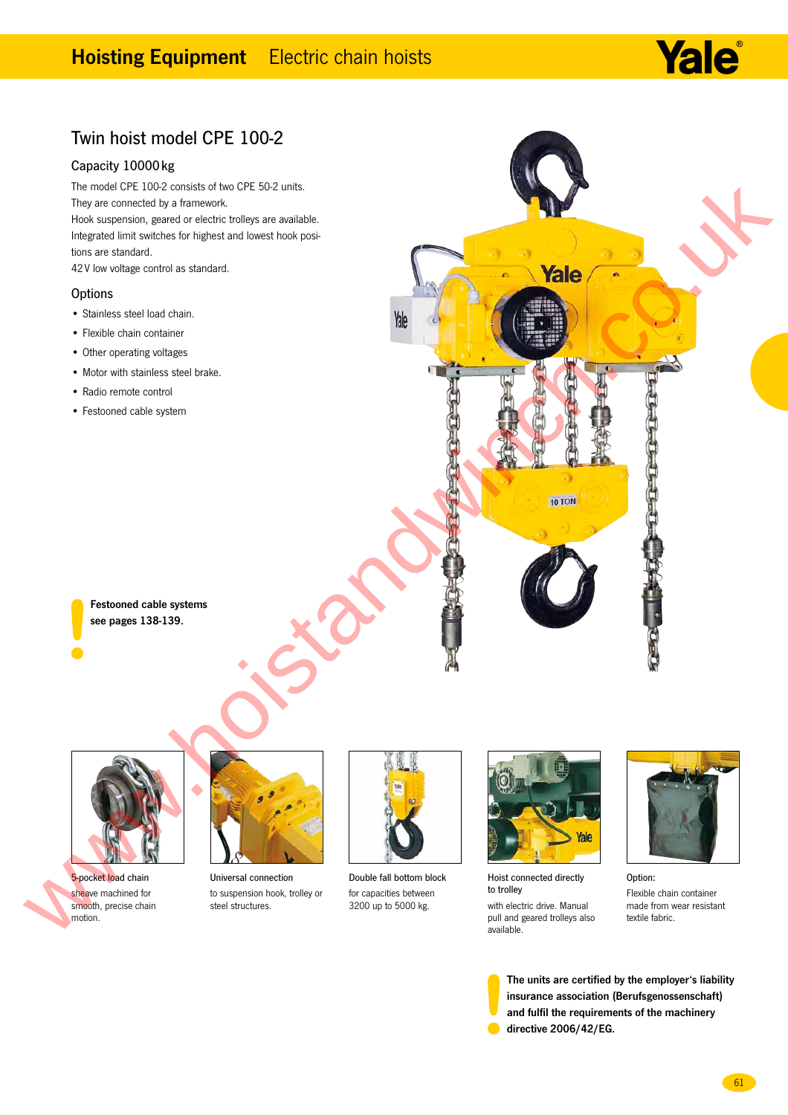# **Hoisting Equipment** Electric chain hoists



# Twin hoist model CPE 100-2

### Capacity 10000 kg

The model CPE 100-2 consists of two CPE 50-2 units. They are connected by a framework.

Hook suspension, geared or electric trolleys are available. Integrated limit switches for highest and lowest hook positions are standard.

42 V low voltage control as standard.

#### **Options**

- Stainless steel load chain.
- Flexible chain container
- Other operating voltages
- Motor with stainless steel brake.
- Radio remote control
- Festooned cable system

Festooned cable systems see pages 138-139.



5-pocket load chain sheave machined for smooth, precise chain motion.



Universal connection to suspension hook, trolley or steel structures.



Double fall bottom block for capacities between 3200 up to 5000 kg.



Hoist connected directly to trolley

with electric drive. Manual pull and geared trolleys also available.



Option: Flexible chain container made from wear resistant textile fabric.

The units are certified by the employer's liability insurance association (Berufsgenossenschaft) and fulfil the requirements of the machinery directive 2006/42/EG.

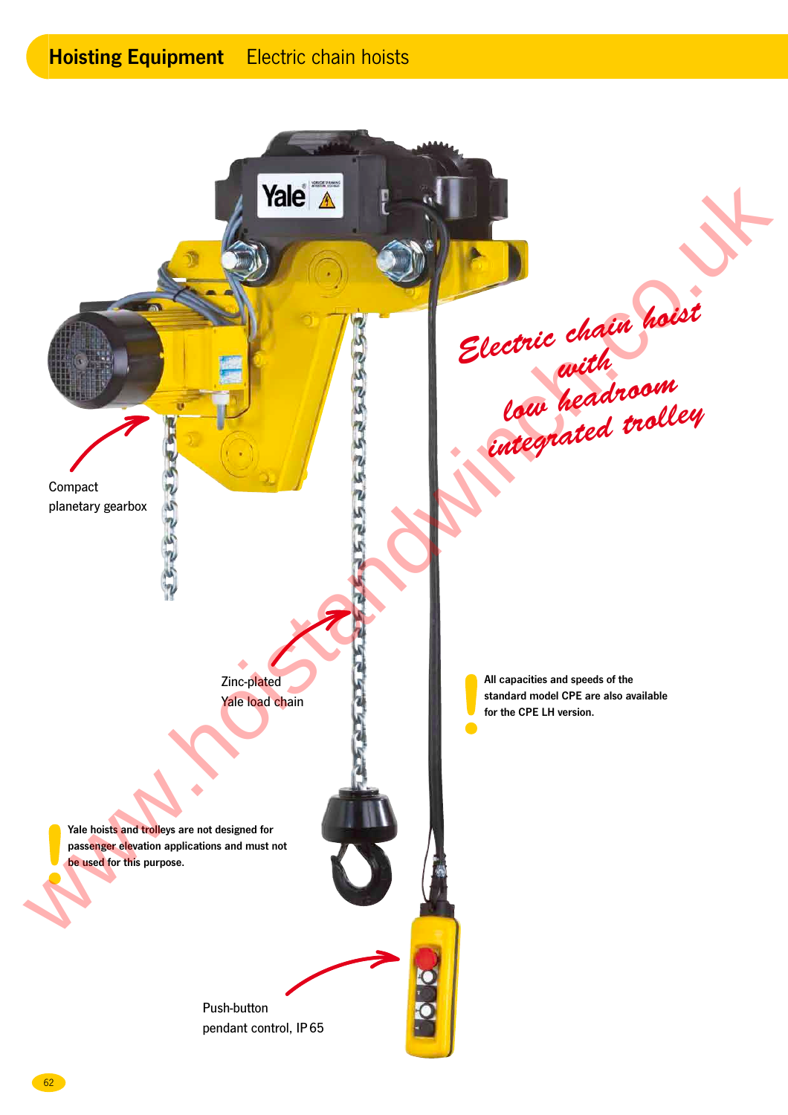# **Hoisting Equipment** Electric chain hoists

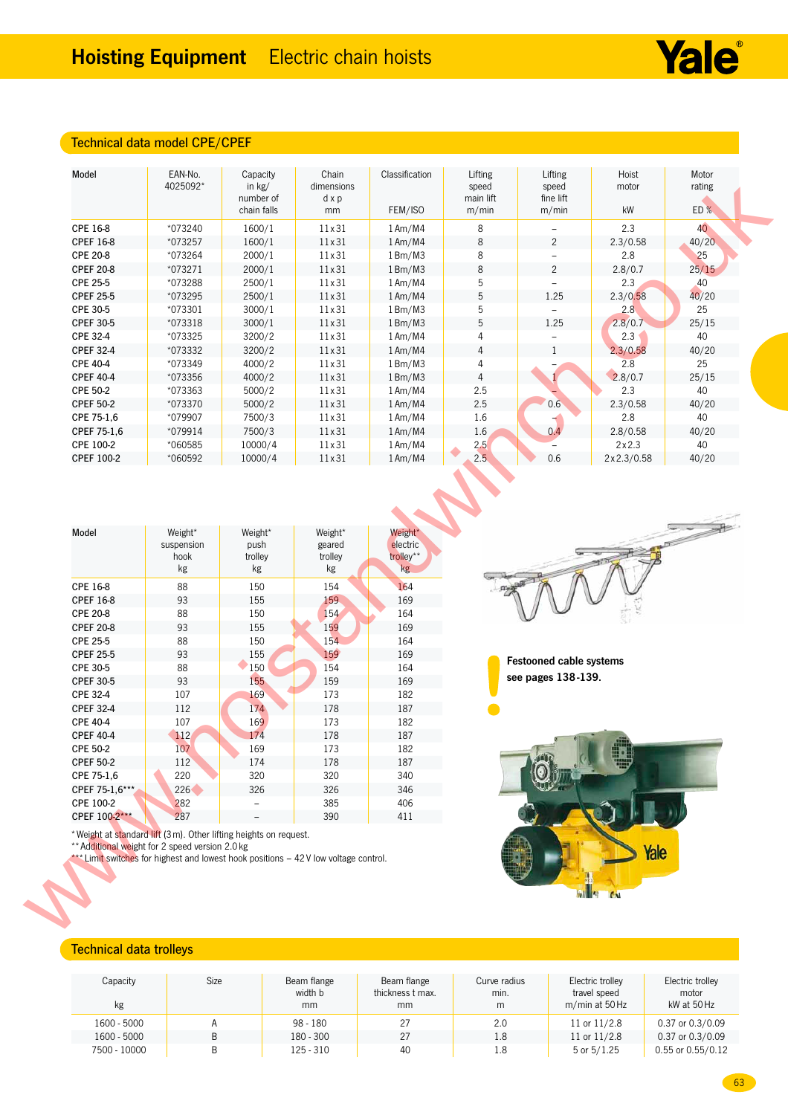# Technical data model CPE/CPEF

| *073240<br>*073257<br>*073264<br>*073271<br>*073288<br>*073295<br>*073301<br>$*073318$<br>*073325<br>*073332<br>*073349<br>*073356<br>*073363<br>*073370<br>*079907<br>$*079914$<br>*060585<br>*060592<br>Weight*<br>suspension<br>hook<br>kg | chain falls<br>1600/1<br>1600/1<br>2000/1<br>2000/1<br>2500/1<br>2500/1<br>3000/1<br>3000/1<br>3200/2<br>3200/2<br>4000/2<br>4000/2<br>5000/2<br>5000/2<br>7500/3<br>7500/3<br>10000/4<br>10000/4<br>Weight*<br>push<br>trolley<br>kg | mm<br>11 x 31<br>11 x 31<br>11 x 31<br>11 x 31<br>11 x 31<br>11 x 31<br>11 x 31<br>11 x 31<br>11 x 31<br>11 x 31<br>11 x 31<br>11 x 31<br>11 x 31<br>11 x 31<br>11 x 31<br>11×31<br>11×31<br>$11\times31$<br>Weight*<br>geared<br>trolley<br>$\mathsf{kg}$ | FEM/ISO<br>$1$ Am/M4<br>$1$ Am/M4<br>1 Bm/M3<br>1 Bm/M3<br>$1$ Am/M4<br>$1$ Am/M4<br>1 Bm/M3<br>1 Bm/M3<br>$1$ Am/M4<br>$1$ Am/M4<br>1 Bm/M3<br>1 Bm/M3<br>$1$ Am/M4<br>1Am/M4<br>$1$ Am/M4<br>1Am/M4<br>$1$ Am/M4<br>$1$ Am/M4<br>Weight*<br>electric<br>trolley**<br>kg | m/min<br>$\,8\,$<br>$\,8\,$<br>8<br>$\,8\,$<br>5<br>5<br>5<br>5<br>4<br>$\overline{4}$<br>4<br>$\overline{4}$<br>2.5<br>2.5<br>1.6<br>1.6<br>2,5<br>2.5 | m/min<br>$\overline{c}$<br>$\overline{c}$<br>1.25<br>$\overline{\phantom{a}}$<br>1.25<br>$\mathbf{1}$<br>0.6<br>0.4<br>0.6 | kW<br>2.3<br>2.3/0.58<br>2.8<br>2.8/0.7<br>2.3<br>2.3/0.58<br>2.8<br>2.8/0.7<br>2.3<br>2.3/0.58<br>2.8<br>2.8/0.7<br>2.3<br>2.3/0.58<br>2.8<br>2.8/0.58<br>2x2.3<br>2x2.3/0.58 | ED%<br>40<br>40/20<br>25<br>25/15<br>40<br>40/20<br>25<br>25/15<br>40<br>40/20<br>25<br>25/15<br>40<br>40/20<br>40<br>40/20<br>40<br>40/20 |
|-----------------------------------------------------------------------------------------------------------------------------------------------------------------------------------------------------------------------------------------------|---------------------------------------------------------------------------------------------------------------------------------------------------------------------------------------------------------------------------------------|------------------------------------------------------------------------------------------------------------------------------------------------------------------------------------------------------------------------------------------------------------|---------------------------------------------------------------------------------------------------------------------------------------------------------------------------------------------------------------------------------------------------------------------------|---------------------------------------------------------------------------------------------------------------------------------------------------------|----------------------------------------------------------------------------------------------------------------------------|--------------------------------------------------------------------------------------------------------------------------------------------------------------------------------|--------------------------------------------------------------------------------------------------------------------------------------------|
|                                                                                                                                                                                                                                               |                                                                                                                                                                                                                                       |                                                                                                                                                                                                                                                            |                                                                                                                                                                                                                                                                           |                                                                                                                                                         |                                                                                                                            |                                                                                                                                                                                |                                                                                                                                            |
|                                                                                                                                                                                                                                               |                                                                                                                                                                                                                                       |                                                                                                                                                                                                                                                            |                                                                                                                                                                                                                                                                           |                                                                                                                                                         |                                                                                                                            |                                                                                                                                                                                |                                                                                                                                            |
|                                                                                                                                                                                                                                               |                                                                                                                                                                                                                                       |                                                                                                                                                                                                                                                            |                                                                                                                                                                                                                                                                           |                                                                                                                                                         |                                                                                                                            |                                                                                                                                                                                |                                                                                                                                            |
|                                                                                                                                                                                                                                               |                                                                                                                                                                                                                                       |                                                                                                                                                                                                                                                            |                                                                                                                                                                                                                                                                           |                                                                                                                                                         |                                                                                                                            |                                                                                                                                                                                |                                                                                                                                            |
|                                                                                                                                                                                                                                               |                                                                                                                                                                                                                                       |                                                                                                                                                                                                                                                            |                                                                                                                                                                                                                                                                           |                                                                                                                                                         |                                                                                                                            |                                                                                                                                                                                |                                                                                                                                            |
|                                                                                                                                                                                                                                               |                                                                                                                                                                                                                                       |                                                                                                                                                                                                                                                            |                                                                                                                                                                                                                                                                           |                                                                                                                                                         |                                                                                                                            |                                                                                                                                                                                |                                                                                                                                            |
|                                                                                                                                                                                                                                               |                                                                                                                                                                                                                                       |                                                                                                                                                                                                                                                            |                                                                                                                                                                                                                                                                           |                                                                                                                                                         |                                                                                                                            |                                                                                                                                                                                |                                                                                                                                            |
|                                                                                                                                                                                                                                               |                                                                                                                                                                                                                                       |                                                                                                                                                                                                                                                            |                                                                                                                                                                                                                                                                           |                                                                                                                                                         |                                                                                                                            |                                                                                                                                                                                |                                                                                                                                            |
|                                                                                                                                                                                                                                               |                                                                                                                                                                                                                                       |                                                                                                                                                                                                                                                            |                                                                                                                                                                                                                                                                           |                                                                                                                                                         |                                                                                                                            |                                                                                                                                                                                |                                                                                                                                            |
|                                                                                                                                                                                                                                               |                                                                                                                                                                                                                                       |                                                                                                                                                                                                                                                            |                                                                                                                                                                                                                                                                           |                                                                                                                                                         |                                                                                                                            |                                                                                                                                                                                |                                                                                                                                            |
|                                                                                                                                                                                                                                               |                                                                                                                                                                                                                                       |                                                                                                                                                                                                                                                            |                                                                                                                                                                                                                                                                           |                                                                                                                                                         |                                                                                                                            |                                                                                                                                                                                |                                                                                                                                            |
|                                                                                                                                                                                                                                               |                                                                                                                                                                                                                                       |                                                                                                                                                                                                                                                            |                                                                                                                                                                                                                                                                           |                                                                                                                                                         |                                                                                                                            |                                                                                                                                                                                |                                                                                                                                            |
|                                                                                                                                                                                                                                               |                                                                                                                                                                                                                                       |                                                                                                                                                                                                                                                            |                                                                                                                                                                                                                                                                           |                                                                                                                                                         |                                                                                                                            |                                                                                                                                                                                |                                                                                                                                            |
|                                                                                                                                                                                                                                               |                                                                                                                                                                                                                                       |                                                                                                                                                                                                                                                            |                                                                                                                                                                                                                                                                           |                                                                                                                                                         |                                                                                                                            |                                                                                                                                                                                |                                                                                                                                            |
|                                                                                                                                                                                                                                               |                                                                                                                                                                                                                                       |                                                                                                                                                                                                                                                            |                                                                                                                                                                                                                                                                           |                                                                                                                                                         |                                                                                                                            |                                                                                                                                                                                |                                                                                                                                            |
|                                                                                                                                                                                                                                               |                                                                                                                                                                                                                                       |                                                                                                                                                                                                                                                            |                                                                                                                                                                                                                                                                           |                                                                                                                                                         |                                                                                                                            |                                                                                                                                                                                |                                                                                                                                            |
|                                                                                                                                                                                                                                               |                                                                                                                                                                                                                                       |                                                                                                                                                                                                                                                            |                                                                                                                                                                                                                                                                           |                                                                                                                                                         |                                                                                                                            |                                                                                                                                                                                |                                                                                                                                            |
|                                                                                                                                                                                                                                               |                                                                                                                                                                                                                                       |                                                                                                                                                                                                                                                            |                                                                                                                                                                                                                                                                           |                                                                                                                                                         |                                                                                                                            |                                                                                                                                                                                |                                                                                                                                            |
|                                                                                                                                                                                                                                               |                                                                                                                                                                                                                                       |                                                                                                                                                                                                                                                            |                                                                                                                                                                                                                                                                           |                                                                                                                                                         |                                                                                                                            |                                                                                                                                                                                |                                                                                                                                            |
|                                                                                                                                                                                                                                               |                                                                                                                                                                                                                                       |                                                                                                                                                                                                                                                            |                                                                                                                                                                                                                                                                           |                                                                                                                                                         |                                                                                                                            |                                                                                                                                                                                |                                                                                                                                            |
| 88                                                                                                                                                                                                                                            | 150                                                                                                                                                                                                                                   | 154                                                                                                                                                                                                                                                        | 164                                                                                                                                                                                                                                                                       |                                                                                                                                                         |                                                                                                                            |                                                                                                                                                                                |                                                                                                                                            |
| 93                                                                                                                                                                                                                                            | 155                                                                                                                                                                                                                                   | 159                                                                                                                                                                                                                                                        | 169                                                                                                                                                                                                                                                                       |                                                                                                                                                         |                                                                                                                            |                                                                                                                                                                                |                                                                                                                                            |
| 88                                                                                                                                                                                                                                            | 150                                                                                                                                                                                                                                   | 154                                                                                                                                                                                                                                                        | 164                                                                                                                                                                                                                                                                       |                                                                                                                                                         |                                                                                                                            |                                                                                                                                                                                |                                                                                                                                            |
| 93                                                                                                                                                                                                                                            | 155                                                                                                                                                                                                                                   | 159                                                                                                                                                                                                                                                        | 169                                                                                                                                                                                                                                                                       |                                                                                                                                                         |                                                                                                                            |                                                                                                                                                                                |                                                                                                                                            |
| 88                                                                                                                                                                                                                                            | 150                                                                                                                                                                                                                                   | 154                                                                                                                                                                                                                                                        | 164                                                                                                                                                                                                                                                                       |                                                                                                                                                         |                                                                                                                            |                                                                                                                                                                                |                                                                                                                                            |
| 93                                                                                                                                                                                                                                            | 155                                                                                                                                                                                                                                   | 159                                                                                                                                                                                                                                                        | 169                                                                                                                                                                                                                                                                       |                                                                                                                                                         | <b>Festooned cable systems</b>                                                                                             |                                                                                                                                                                                |                                                                                                                                            |
| 88<br>$\bigcirc$ 150                                                                                                                                                                                                                          |                                                                                                                                                                                                                                       | 154                                                                                                                                                                                                                                                        | 164                                                                                                                                                                                                                                                                       |                                                                                                                                                         |                                                                                                                            |                                                                                                                                                                                |                                                                                                                                            |
| 93                                                                                                                                                                                                                                            | 155                                                                                                                                                                                                                                   | 159                                                                                                                                                                                                                                                        | 169                                                                                                                                                                                                                                                                       |                                                                                                                                                         | see pages 138-139.                                                                                                         |                                                                                                                                                                                |                                                                                                                                            |
|                                                                                                                                                                                                                                               |                                                                                                                                                                                                                                       |                                                                                                                                                                                                                                                            |                                                                                                                                                                                                                                                                           |                                                                                                                                                         |                                                                                                                            |                                                                                                                                                                                |                                                                                                                                            |
|                                                                                                                                                                                                                                               |                                                                                                                                                                                                                                       |                                                                                                                                                                                                                                                            |                                                                                                                                                                                                                                                                           |                                                                                                                                                         |                                                                                                                            |                                                                                                                                                                                |                                                                                                                                            |
|                                                                                                                                                                                                                                               |                                                                                                                                                                                                                                       | 173                                                                                                                                                                                                                                                        | 182                                                                                                                                                                                                                                                                       |                                                                                                                                                         |                                                                                                                            |                                                                                                                                                                                |                                                                                                                                            |
|                                                                                                                                                                                                                                               |                                                                                                                                                                                                                                       |                                                                                                                                                                                                                                                            |                                                                                                                                                                                                                                                                           |                                                                                                                                                         |                                                                                                                            |                                                                                                                                                                                |                                                                                                                                            |
|                                                                                                                                                                                                                                               |                                                                                                                                                                                                                                       | 173                                                                                                                                                                                                                                                        |                                                                                                                                                                                                                                                                           |                                                                                                                                                         |                                                                                                                            |                                                                                                                                                                                |                                                                                                                                            |
|                                                                                                                                                                                                                                               |                                                                                                                                                                                                                                       | 178                                                                                                                                                                                                                                                        | 187                                                                                                                                                                                                                                                                       |                                                                                                                                                         |                                                                                                                            |                                                                                                                                                                                |                                                                                                                                            |
|                                                                                                                                                                                                                                               |                                                                                                                                                                                                                                       | 320                                                                                                                                                                                                                                                        | 340                                                                                                                                                                                                                                                                       |                                                                                                                                                         |                                                                                                                            |                                                                                                                                                                                |                                                                                                                                            |
|                                                                                                                                                                                                                                               |                                                                                                                                                                                                                                       | 326                                                                                                                                                                                                                                                        | 346                                                                                                                                                                                                                                                                       |                                                                                                                                                         |                                                                                                                            |                                                                                                                                                                                |                                                                                                                                            |
|                                                                                                                                                                                                                                               |                                                                                                                                                                                                                                       | 385                                                                                                                                                                                                                                                        | 406                                                                                                                                                                                                                                                                       |                                                                                                                                                         |                                                                                                                            |                                                                                                                                                                                |                                                                                                                                            |
|                                                                                                                                                                                                                                               |                                                                                                                                                                                                                                       | 390                                                                                                                                                                                                                                                        | 411                                                                                                                                                                                                                                                                       |                                                                                                                                                         |                                                                                                                            |                                                                                                                                                                                |                                                                                                                                            |
|                                                                                                                                                                                                                                               |                                                                                                                                                                                                                                       |                                                                                                                                                                                                                                                            |                                                                                                                                                                                                                                                                           |                                                                                                                                                         |                                                                                                                            | Yale                                                                                                                                                                           |                                                                                                                                            |
|                                                                                                                                                                                                                                               | 107<br>112<br>107<br>$\bigoplus$<br>107<br>112<br>220<br>226<br>282<br>287<br>** Additional weight for 2 speed version 2.0 kg                                                                                                         | 169<br>174<br>169<br>174<br>169<br>174<br>320<br>326                                                                                                                                                                                                       | 173<br>178<br>178<br>* Weight at standard lift (3 m). Other lifting heights on request.                                                                                                                                                                                   | 182<br>187<br>187<br>182<br>*** Limit switches for highest and lowest hook positions - 42 V low voltage control.                                        |                                                                                                                            |                                                                                                                                                                                | 2012                                                                                                                                       |

| Model            | Weight*<br>suspension<br>hook<br>kg | Weight*<br>push<br>trolley<br>kg | Weight*<br>geared<br>trolley<br>kg | Weight*<br>electric<br>trolley**<br>kg |
|------------------|-------------------------------------|----------------------------------|------------------------------------|----------------------------------------|
| CPE 16-8         | 88                                  | 150                              | 154                                | 164                                    |
| <b>CPEF 16-8</b> | 93                                  | 155                              | 159                                | 169                                    |
| <b>CPE 20-8</b>  | 88                                  | 150                              | 154                                | 164                                    |
| <b>CPEF 20-8</b> | 93                                  | 155                              | 159                                | 169                                    |
| <b>CPE 25-5</b>  | 88                                  | 150                              | 154                                | 164                                    |
| <b>CPEF 25-5</b> | 93                                  | 155                              | 159                                | 169                                    |
| CPE 30-5         | 88                                  | 150                              | 154                                | 164                                    |
| <b>CPEF 30-5</b> | 93                                  | 155                              | 159                                | 169                                    |
| <b>CPE 32-4</b>  | 107                                 | 169                              | 173                                | 182                                    |
| <b>CPEF 32-4</b> | 112                                 | 174                              | 178                                | 187                                    |
| <b>CPE 40-4</b>  | 107                                 | 169                              | 173                                | 182                                    |
| <b>CPEF 40-4</b> | 112                                 | 174                              | 178                                | 187                                    |
| <b>CPE 50-2</b>  | 107                                 | 169                              | 173                                | 182                                    |
| <b>CPEF 50-2</b> | 112                                 | 174                              | 178                                | 187                                    |
| CPE 75-1,6       | 220                                 | 320                              | 320                                | 340                                    |
| CPEF 75-1.6***   | 226                                 | 326                              | 326                                | 346                                    |
| CPE 100-2        | 282                                 |                                  | 385                                | 406                                    |
| CPEF 100-2***    | 287                                 |                                  | 390                                | 411                                    |
|                  |                                     |                                  |                                    |                                        |



Yale®



## Technical data trolleys

| Capacity<br>kg | Size | Beam flange<br>width b<br>mm | Beam flange<br>thickness t max.<br>mm | Curve radius<br>min.<br>m | Electric trolley<br>travel speed<br>m/min at 50 Hz | Electric trolley<br>motor<br>kW at 50 Hz |
|----------------|------|------------------------------|---------------------------------------|---------------------------|----------------------------------------------------|------------------------------------------|
| 1600 - 5000    |      | $98 - 180$                   | 27                                    | 2.0                       | 11 or $11/2.8$                                     | 0.37 or 0.3/0.09                         |
| 1600 - 5000    | B    | $180 - 300$                  | 27                                    | 1.8                       | 11 or $11/2.8$                                     | 0.37 or 0.3/0.09                         |
| 7500 - 10000   | B    | $125 - 310$                  | 40                                    | 1.8                       | 5 or $5/1.25$                                      | 0.55 or 0.55/0.12                        |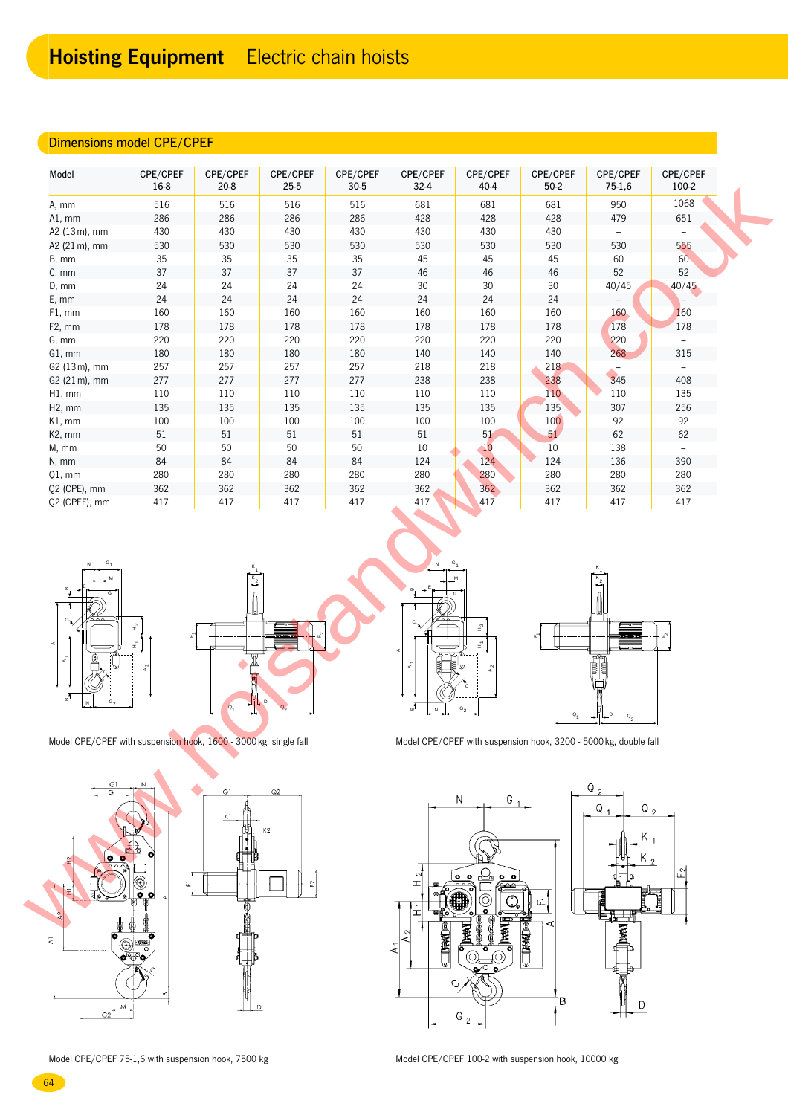## Dimensions model CPE/CPEF

|                                                                        | CPE/CPEF<br>16-8                  | CPE/CPEF<br>$20 - 8$ | CPE/CPEF<br>25-5 | CPE/CPEF<br>$30 - 5$ | CPE/CPEF<br>$32 - 4$   | CPE/CPEF<br>40-4                           | CPE/CPEF<br>$50-2$            | CPE/CPEF<br>$75-1,6$                                                      | CPE/CPEF<br>100-2        |
|------------------------------------------------------------------------|-----------------------------------|----------------------|------------------|----------------------|------------------------|--------------------------------------------|-------------------------------|---------------------------------------------------------------------------|--------------------------|
| A, mm                                                                  | 516                               | 516                  | 516              | 516                  | 681                    | 681                                        | 681                           | 950                                                                       | 1068                     |
| A1, mm                                                                 | 286                               | 286                  | 286              | 286                  | 428                    | 428                                        | 428                           | 479                                                                       | 651                      |
| A2 (13m), mm                                                           | 430                               | 430                  | 430              | 430                  | 430                    | 430                                        | 430                           | $\overline{\phantom{a}}$                                                  |                          |
| A2 (21 m), mm                                                          | 530                               | 530                  | 530              | 530                  | 530                    | 530                                        | 530                           | 530                                                                       | 555                      |
| B, mm                                                                  | 35                                | 35                   | 35               | 35                   | 45                     | 45                                         | 45                            | 60                                                                        | 60 <sub>°</sub>          |
| C, mm                                                                  | 37                                | 37                   | 37               | 37                   | 46                     | 46                                         | 46                            | 52                                                                        | 52                       |
| D, mm                                                                  | 24                                | 24                   | 24               | 24                   | $30\,$                 | 30                                         | 30                            | 40/45                                                                     | 40/45                    |
| E, mm                                                                  | 24                                | 24                   | 24               | 24                   | 24                     | 24                                         | 24                            |                                                                           |                          |
| F1, mm                                                                 | 160                               | 160                  | 160              | 160                  | 160                    | 160                                        | 160                           | 160                                                                       | 160                      |
| F2, mm                                                                 | 178                               | 178                  | 178              | 178                  | 178                    | 178                                        | 178                           | 178                                                                       | 178                      |
|                                                                        |                                   |                      |                  |                      |                        |                                            |                               |                                                                           |                          |
| G, mm                                                                  | 220                               | 220                  | 220              | 220                  | 220                    | 220                                        | 220                           | 220                                                                       |                          |
| G1, mm                                                                 | 180                               | 180                  | 180              | 180                  | 140                    | 140                                        | 140                           | 268                                                                       | 315                      |
| G2 (13m), mm                                                           | 257                               | 257                  | 257              | 257                  | 218                    | 218                                        | 218                           |                                                                           | $\overline{\phantom{a}}$ |
| G2 (21m), mm                                                           | 277                               | 277                  | 277              | 277                  | 238                    | 238                                        | 238                           | 345                                                                       | 408                      |
| H1, mm                                                                 | 110                               | 110                  | 110              | 110                  | 110                    | 110                                        | 110                           | 110                                                                       | 135                      |
| H <sub>2</sub> , mm                                                    | 135                               | 135                  | 135              | 135                  | 135                    | 135                                        | 135                           | 307                                                                       | 256                      |
| K1, mm                                                                 | 100                               | 100                  | 100              | 100                  | 100                    | 100                                        | 100                           | 92                                                                        | 92                       |
| K2, mm                                                                 | $51\,$                            | $51\,$               | $51\,$           | $51\,$               | $51\,$                 | 51                                         | 51                            | 62                                                                        | 62                       |
| M, mm                                                                  | 50                                | 50                   | $50\,$           | 50                   | 10                     | 10                                         | 10                            | 138                                                                       | $\overline{\phantom{a}}$ |
| N, mm                                                                  | 84                                | 84                   | 84               | 84                   | 124                    | 124                                        | 124                           | 136                                                                       | 390                      |
| $Q1$ , mm                                                              | 280                               | 280                  | 280              | 280                  | 280                    | 280                                        | 280                           | 280                                                                       | 280                      |
| Q2 (CPE), mm                                                           | 362                               | 362                  | 362              | 362                  | 362                    | 362                                        | 362                           | 362                                                                       | 362                      |
| Q2 (CPEF), mm                                                          | 417                               | 417                  | 417              | 417                  | 417                    | 417                                        | 417                           | 417                                                                       | 417                      |
| $G_1$                                                                  |                                   |                      |                  |                      |                        |                                            |                               |                                                                           |                          |
| k.<br>୷<br>$\mathtt{G}_2$                                              | $\mathbf{H}^2$<br>цΤ<br>$\vec{z}$ | ٣<br>$\alpha$        |                  |                      | ξ<br>√ங்<br>$\hbox{N}$ | $\mathbf{r}^2$<br>$\vec{x}$<br>${\tt G}_2$ | u.<br>$\mathsf{o}_\mathsf{1}$ | $\mathbb{R}$<br>$\overline{\phantom{a}}$<br>$Q_{\rm 0}$                   |                          |
| Model CPE/CPEF with suspension hook, 1600 - 3000 kg, single fall<br>G1 |                                   |                      |                  |                      |                        |                                            |                               | Model CPE/CPEF with suspension hook, 3200 - 5000 kg, double fall<br>$Q_2$ |                          |











 $\overline{D}$ G2